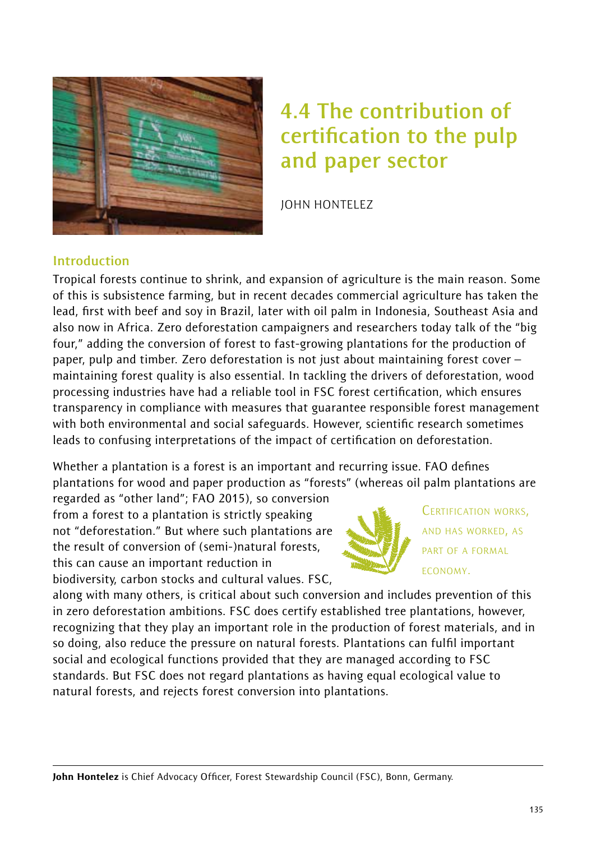

# **4.4 The contribution of certification to the pulp and paper sector**

JOHN HONTELEZ

## **Introduction**

Tropical forests continue to shrink, and expansion of agriculture is the main reason. Some of this is subsistence farming, but in recent decades commercial agriculture has taken the lead, first with beef and soy in Brazil, later with oil palm in Indonesia, Southeast Asia and also now in Africa. Zero deforestation campaigners and researchers today talk of the "big four," adding the conversion of forest to fast-growing plantations for the production of paper, pulp and timber. Zero deforestation is not just about maintaining forest cover – maintaining forest quality is also essential. In tackling the drivers of deforestation, wood processing industries have had a reliable tool in FSC forest certification, which ensures transparency in compliance with measures that guarantee responsible forest management with both environmental and social safeguards. However, scientific research sometimes leads to confusing interpretations of the impact of certification on deforestation.

Whether a plantation is a forest is an important and recurring issue. FAO defines plantations for wood and paper production as "forests" (whereas oil palm plantations are

regarded as "other land"; FAO 2015), so conversion from a forest to a plantation is strictly speaking not "deforestation." But where such plantations are the result of conversion of (semi-)natural forests, this can cause an important reduction in biodiversity, carbon stocks and cultural values. FSC,



CERTIFICATION WORKS, AND HAS WORKED, AS PART OF A FORMAL ECONOMY.

along with many others, is critical about such conversion and includes prevention of this in zero deforestation ambitions. FSC does certify established tree plantations, however, recognizing that they play an important role in the production of forest materials, and in so doing, also reduce the pressure on natural forests. Plantations can fulfil important social and ecological functions provided that they are managed according to FSC standards. But FSC does not regard plantations as having equal ecological value to natural forests, and rejects forest conversion into plantations.

John Hontelez is Chief Advocacy Officer, Forest Stewardship Council (FSC), Bonn, Germany.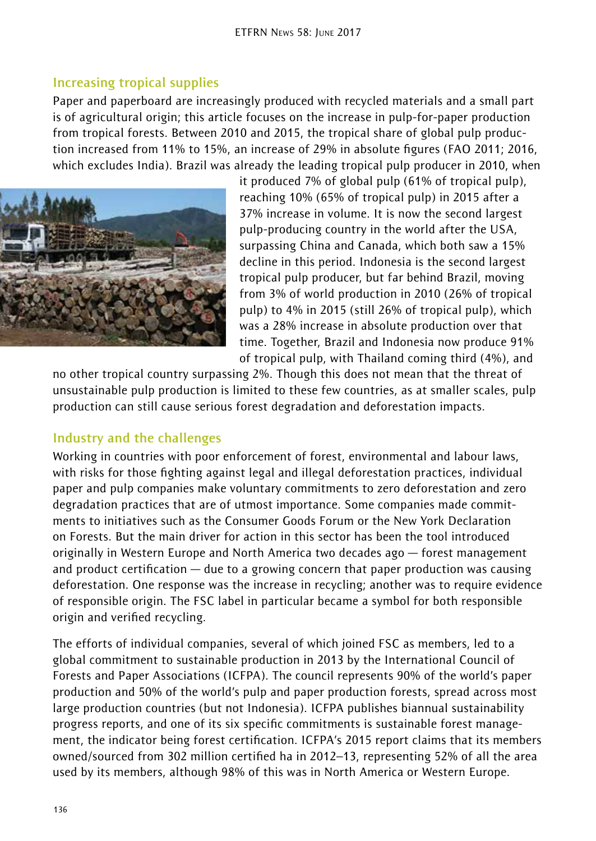### **Increasing tropical supplies**

Paper and paperboard are increasingly produced with recycled materials and a small part is of agricultural origin; this article focuses on the increase in pulp-for-paper production from tropical forests. Between 2010 and 2015, the tropical share of global pulp production increased from 11% to 15%, an increase of 29% in absolute figures (FAO 2011; 2016, which excludes India). Brazil was already the leading tropical pulp producer in 2010, when



it produced 7% of global pulp (61% of tropical pulp), reaching 10% (65% of tropical pulp) in 2015 after a 37% increase in volume. It is now the second largest pulp-producing country in the world after the USA, surpassing China and Canada, which both saw a 15% decline in this period. Indonesia is the second largest tropical pulp producer, but far behind Brazil, moving from 3% of world production in 2010 (26% of tropical pulp) to 4% in 2015 (still 26% of tropical pulp), which was a 28% increase in absolute production over that time. Together, Brazil and Indonesia now produce 91% of tropical pulp, with Thailand coming third (4%), and

no other tropical country surpassing 2%. Though this does not mean that the threat of unsustainable pulp production is limited to these few countries, as at smaller scales, pulp production can still cause serious forest degradation and deforestation impacts.

### **Industry and the challenges**

Working in countries with poor enforcement of forest, environmental and labour laws, with risks for those fighting against legal and illegal deforestation practices, individual paper and pulp companies make voluntary commitments to zero deforestation and zero degradation practices that are of utmost importance. Some companies made commitments to initiatives such as the Consumer Goods Forum or the New York Declaration on Forests. But the main driver for action in this sector has been the tool introduced originally in Western Europe and North America two decades ago — forest management and product certification — due to a growing concern that paper production was causing deforestation. One response was the increase in recycling; another was to require evidence of responsible origin. The FSC label in particular became a symbol for both responsible origin and verified recycling.

The efforts of individual companies, several of which joined FSC as members, led to a global commitment to sustainable production in 2013 by the International Council of Forests and Paper Associations (ICFPA). The council represents 90% of the world's paper production and 50% of the world's pulp and paper production forests, spread across most large production countries (but not Indonesia). ICFPA publishes biannual sustainability progress reports, and one of its six specific commitments is sustainable forest management, the indicator being forest certification. ICFPA's 2015 report claims that its members owned/sourced from 302 million certified ha in 2012–13, representing 52% of all the area used by its members, although 98% of this was in North America or Western Europe.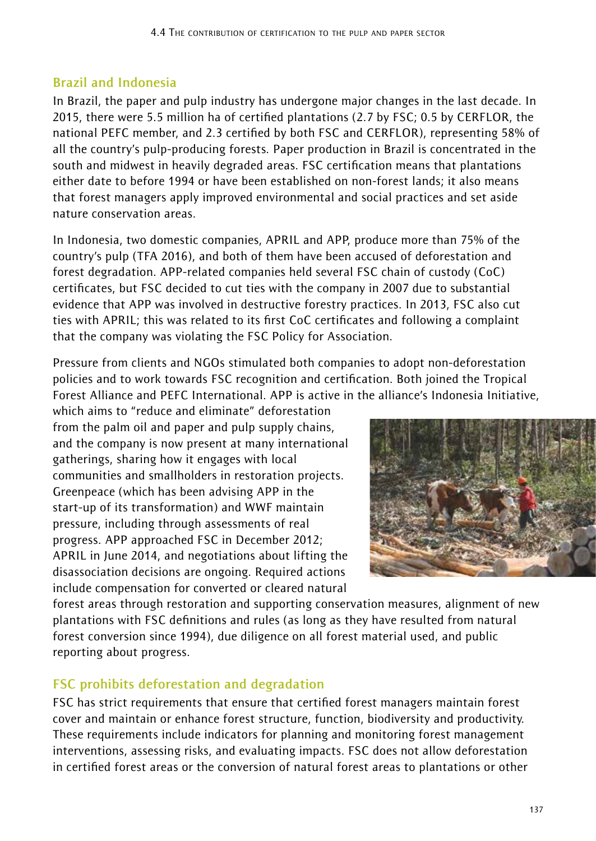## **Brazil and Indonesia**

In Brazil, the paper and pulp industry has undergone major changes in the last decade. In 2015, there were 5.5 million ha of certified plantations (2.7 by FSC; 0.5 by CERFLOR, the national PEFC member, and 2.3 certified by both FSC and CERFLOR), representing 58% of all the country's pulp-producing forests*.* Paper production in Brazil is concentrated in the south and midwest in heavily degraded areas. FSC certification means that plantations either date to before 1994 or have been established on non-forest lands; it also means that forest managers apply improved environmental and social practices and set aside nature conservation areas.

In Indonesia, two domestic companies, APRIL and APP, produce more than 75% of the country's pulp (TFA 2016), and both of them have been accused of deforestation and forest degradation. APP-related companies held several FSC chain of custody (CoC) certificates, but FSC decided to cut ties with the company in 2007 due to substantial evidence that APP was involved in destructive forestry practices. In 2013, FSC also cut ties with APRIL; this was related to its first CoC certificates and following a complaint that the company was violating the FSC Policy for Association.

Pressure from clients and NGOs stimulated both companies to adopt non-deforestation policies and to work towards FSC recognition and certification. Both joined the Tropical Forest Alliance and PEFC International. APP is active in the alliance's Indonesia Initiative,

which aims to "reduce and eliminate" deforestation from the palm oil and paper and pulp supply chains, and the company is now present at many international gatherings, sharing how it engages with local communities and smallholders in restoration projects. Greenpeace (which has been advising APP in the start-up of its transformation) and WWF maintain pressure, including through assessments of real progress. APP approached FSC in December 2012; APRIL in June 2014, and negotiations about lifting the disassociation decisions are ongoing. Required actions include compensation for converted or cleared natural



forest areas through restoration and supporting conservation measures, alignment of new plantations with FSC definitions and rules (as long as they have resulted from natural forest conversion since 1994), due diligence on all forest material used, and public reporting about progress.

# **FSC prohibits deforestation and degradation**

FSC has strict requirements that ensure that certified forest managers maintain forest cover and maintain or enhance forest structure, function, biodiversity and productivity. These requirements include indicators for planning and monitoring forest management interventions, assessing risks, and evaluating impacts. FSC does not allow deforestation in certified forest areas or the conversion of natural forest areas to plantations or other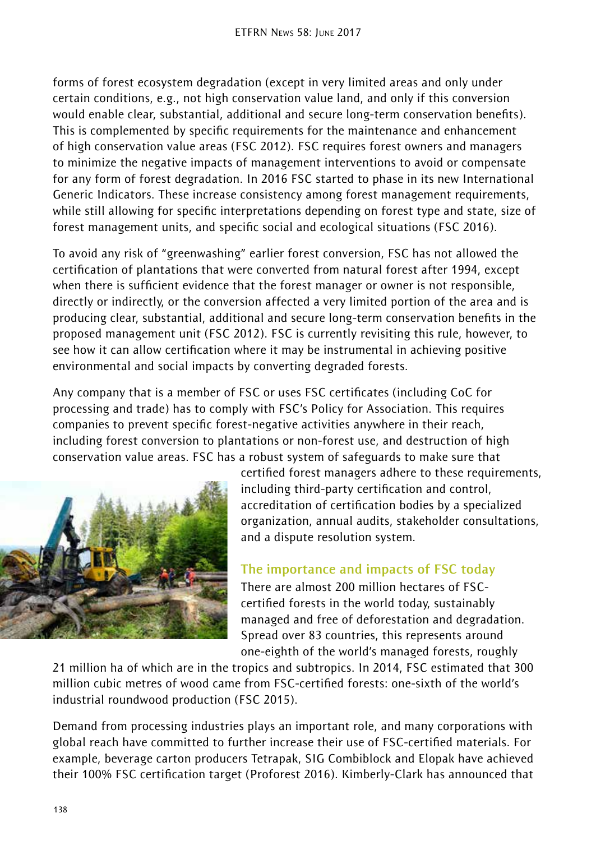forms of forest ecosystem degradation (except in very limited areas and only under certain conditions, e.g., not high conservation value land, and only if this conversion would enable clear, substantial, additional and secure long-term conservation benefits). This is complemented by specific requirements for the maintenance and enhancement of high conservation value areas (FSC 2012). FSC requires forest owners and managers to minimize the negative impacts of management interventions to avoid or compensate for any form of forest degradation. In 2016 FSC started to phase in its new International Generic Indicators. These increase consistency among forest management requirements, while still allowing for specific interpretations depending on forest type and state, size of forest management units, and specific social and ecological situations (FSC 2016).

To avoid any risk of "greenwashing" earlier forest conversion, FSC has not allowed the certification of plantations that were converted from natural forest after 1994, except when there is sufficient evidence that the forest manager or owner is not responsible, directly or indirectly, or the conversion affected a very limited portion of the area and is producing clear, substantial, additional and secure long-term conservation benefits in the proposed management unit (FSC 2012). FSC is currently revisiting this rule, however, to see how it can allow certification where it may be instrumental in achieving positive environmental and social impacts by converting degraded forests.

Any company that is a member of FSC or uses FSC certificates (including CoC for processing and trade) has to comply with FSC's Policy for Association. This requires companies to prevent specific forest-negative activities anywhere in their reach, including forest conversion to plantations or non-forest use, and destruction of high conservation value areas. FSC has a robust system of safeguards to make sure that



certified forest managers adhere to these requirements, including third-party certification and control, accreditation of certification bodies by a specialized organization, annual audits, stakeholder consultations, and a dispute resolution system.

# **The importance and impacts of FSC today**

There are almost 200 million hectares of FSCcertified forests in the world today, sustainably managed and free of deforestation and degradation. Spread over 83 countries, this represents around one-eighth of the world's managed forests, roughly

21 million ha of which are in the tropics and subtropics. In 2014, FSC estimated that 300 million cubic metres of wood came from FSC-certified forests: one-sixth of the world's industrial roundwood production (FSC 2015).

Demand from processing industries plays an important role, and many corporations with global reach have committed to further increase their use of FSC-certified materials. For example, beverage carton producers Tetrapak, SIG Combiblock and Elopak have achieved their 100% FSC certification target (Proforest 2016). Kimberly-Clark has announced that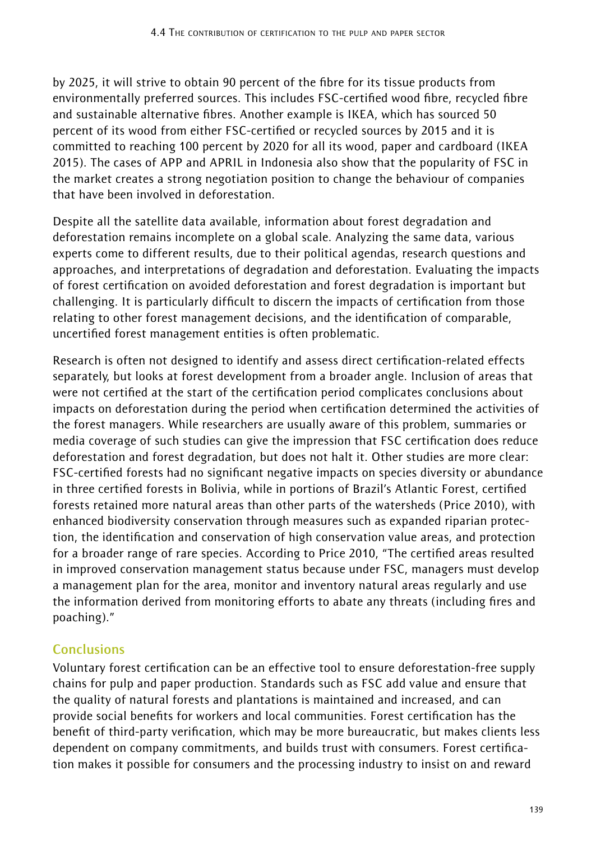by 2025, it will strive to obtain 90 percent of the fibre for its tissue products from environmentally preferred sources. This includes FSC-certified wood fibre, recycled fibre and sustainable alternative fibres. Another example is IKEA, which has sourced 50 percent of its wood from either FSC-certified or recycled sources by 2015 and it is committed to reaching 100 percent by 2020 for all its wood, paper and cardboard (IKEA 2015). The cases of APP and APRIL in Indonesia also show that the popularity of FSC in the market creates a strong negotiation position to change the behaviour of companies that have been involved in deforestation.

Despite all the satellite data available, information about forest degradation and deforestation remains incomplete on a global scale. Analyzing the same data, various experts come to different results, due to their political agendas, research questions and approaches, and interpretations of degradation and deforestation. Evaluating the impacts of forest certification on avoided deforestation and forest degradation is important but challenging. It is particularly difficult to discern the impacts of certification from those relating to other forest management decisions, and the identification of comparable, uncertified forest management entities is often problematic.

Research is often not designed to identify and assess direct certification-related effects separately, but looks at forest development from a broader angle. Inclusion of areas that were not certified at the start of the certification period complicates conclusions about impacts on deforestation during the period when certification determined the activities of the forest managers. While researchers are usually aware of this problem, summaries or media coverage of such studies can give the impression that FSC certification does reduce deforestation and forest degradation, but does not halt it. Other studies are more clear: FSC-certified forests had no significant negative impacts on species diversity or abundance in three certified forests in Bolivia, while in portions of Brazil's Atlantic Forest, certified forests retained more natural areas than other parts of the watersheds (Price 2010), with enhanced biodiversity conservation through measures such as expanded riparian protection, the identification and conservation of high conservation value areas, and protection for a broader range of rare species. According to Price 2010, "The certified areas resulted in improved conservation management status because under FSC, managers must develop a management plan for the area, monitor and inventory natural areas regularly and use the information derived from monitoring efforts to abate any threats (including fires and poaching)."

# **Conclusions**

Voluntary forest certification can be an effective tool to ensure deforestation-free supply chains for pulp and paper production. Standards such as FSC add value and ensure that the quality of natural forests and plantations is maintained and increased, and can provide social benefits for workers and local communities. Forest certification has the benefit of third-party verification, which may be more bureaucratic, but makes clients less dependent on company commitments, and builds trust with consumers. Forest certification makes it possible for consumers and the processing industry to insist on and reward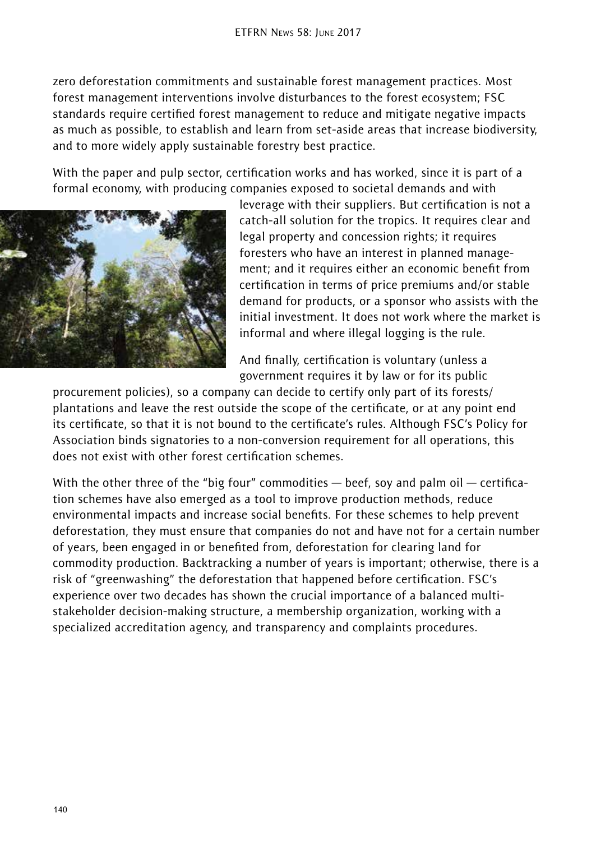zero deforestation commitments and sustainable forest management practices. Most forest management interventions involve disturbances to the forest ecosystem; FSC standards require certified forest management to reduce and mitigate negative impacts as much as possible, to establish and learn from set-aside areas that increase biodiversity, and to more widely apply sustainable forestry best practice.

With the paper and pulp sector, certification works and has worked, since it is part of a formal economy, with producing companies exposed to societal demands and with



leverage with their suppliers. But certification is not a catch-all solution for the tropics. It requires clear and legal property and concession rights; it requires foresters who have an interest in planned management; and it requires either an economic benefit from certification in terms of price premiums and/or stable demand for products, or a sponsor who assists with the initial investment. It does not work where the market is informal and where illegal logging is the rule.

And finally, certification is voluntary (unless a government requires it by law or for its public

procurement policies), so a company can decide to certify only part of its forests/ plantations and leave the rest outside the scope of the certificate, or at any point end its certificate, so that it is not bound to the certificate's rules. Although FSC's Policy for Association binds signatories to a non-conversion requirement for all operations, this does not exist with other forest certification schemes.

With the other three of the "big four" commodities  $-$  beef, soy and palm oil  $-$  certification schemes have also emerged as a tool to improve production methods, reduce environmental impacts and increase social benefits. For these schemes to help prevent deforestation, they must ensure that companies do not and have not for a certain number of years, been engaged in or benefited from, deforestation for clearing land for commodity production. Backtracking a number of years is important; otherwise, there is a risk of "greenwashing" the deforestation that happened before certification. FSC's experience over two decades has shown the crucial importance of a balanced multistakeholder decision-making structure, a membership organization, working with a specialized accreditation agency, and transparency and complaints procedures.